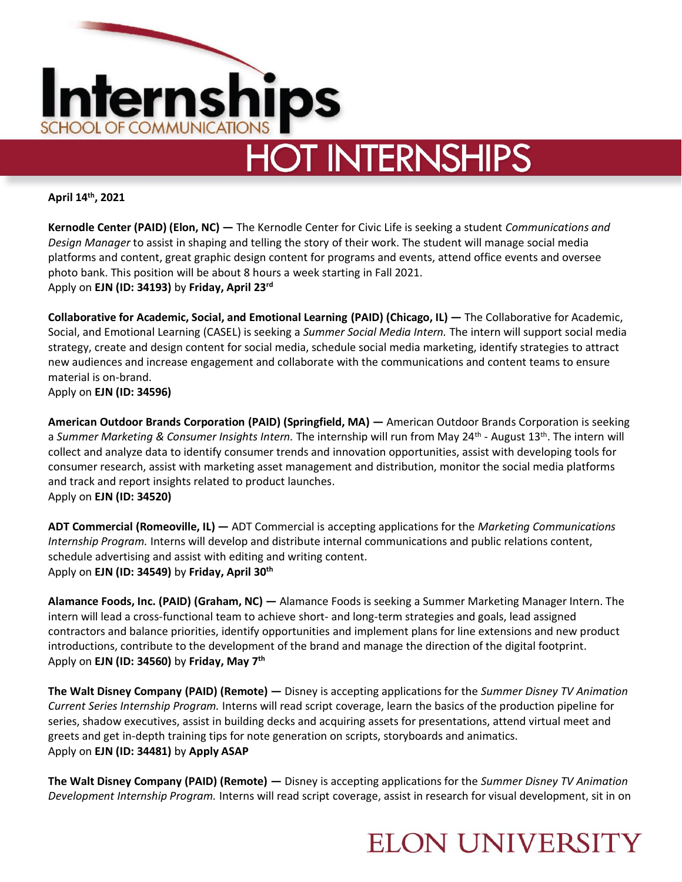

**April 14th, 2021**

**Kernodle Center (PAID) (Elon, NC) —** The Kernodle Center for Civic Life is seeking a student *Communications and Design Manager* to assist in shaping and telling the story of their work. The student will manage social media platforms and content, great graphic design content for programs and events, attend office events and oversee photo bank. This position will be about 8 hours a week starting in Fall 2021. Apply on **EJN (ID: 34193)** by **Friday, April 23rd**

**Collaborative for Academic, Social, and Emotional Learning (PAID) (Chicago, IL) —** The Collaborative for Academic, Social, and Emotional Learning (CASEL) is seeking a *Summer Social Media Intern.* The intern will support social media strategy, create and design content for social media, schedule social media marketing, identify strategies to attract new audiences and increase engagement and collaborate with the communications and content teams to ensure material is on-brand.

Apply on **EJN (ID: 34596)** 

**American Outdoor Brands Corporation (PAID) (Springfield, MA) —** American Outdoor Brands Corporation is seeking a Summer Marketing & Consumer Insights Intern. The internship will run from May 24<sup>th</sup> - August 13<sup>th</sup>. The intern will collect and analyze data to identify consumer trends and innovation opportunities, assist with developing tools for consumer research, assist with marketing asset management and distribution, monitor the social media platforms and track and report insights related to product launches. Apply on **EJN (ID: 34520)** 

**ADT Commercial (Romeoville, IL) —** ADT Commercial is accepting applications for the *Marketing Communications Internship Program.* Interns will develop and distribute internal communications and public relations content, schedule advertising and assist with editing and writing content. Apply on **EJN (ID: 34549)** by **Friday, April 30th**

**Alamance Foods, Inc. (PAID) (Graham, NC) —** Alamance Foods is seeking a Summer Marketing Manager Intern. The intern will lead a cross-functional team to achieve short- and long-term strategies and goals, lead assigned contractors and balance priorities, identify opportunities and implement plans for line extensions and new product introductions, contribute to the development of the brand and manage the direction of the digital footprint. Apply on **EJN (ID: 34560)** by **Friday, May 7th**

**The Walt Disney Company (PAID) (Remote) —** Disney is accepting applications for the *Summer Disney TV Animation Current Series Internship Program.* Interns will read script coverage, learn the basics of the production pipeline for series, shadow executives, assist in building decks and acquiring assets for presentations, attend virtual meet and greets and get in-depth training tips for note generation on scripts, storyboards and animatics. Apply on **EJN (ID: 34481)** by **Apply ASAP**

**The Walt Disney Company (PAID) (Remote) —** Disney is accepting applications for the *Summer Disney TV Animation Development Internship Program.* Interns will read script coverage, assist in research for visual development, sit in on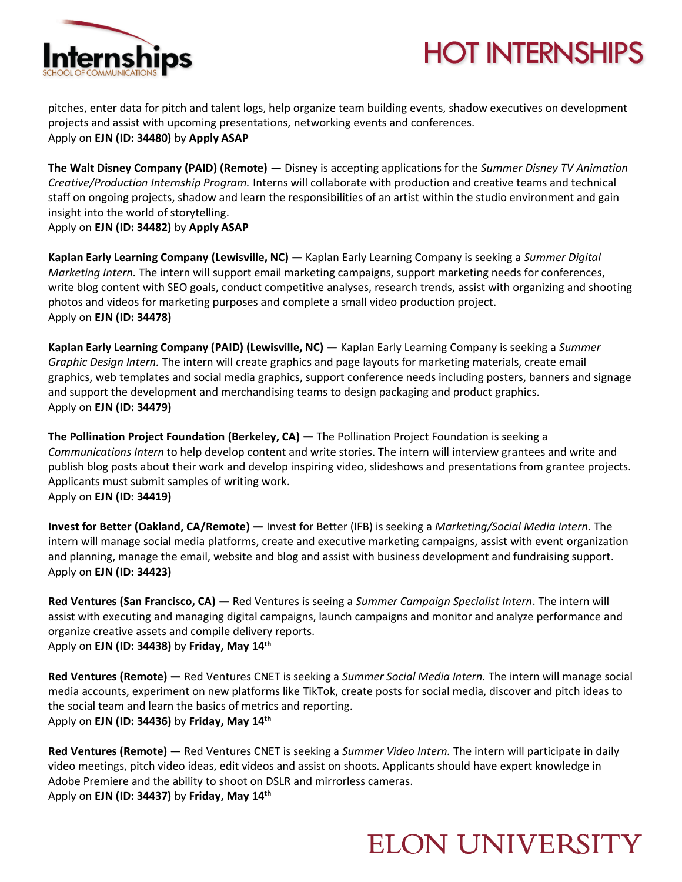

## **HOT INTERNSHIPS**

pitches, enter data for pitch and talent logs, help organize team building events, shadow executives on development projects and assist with upcoming presentations, networking events and conferences. Apply on **EJN (ID: 34480)** by **Apply ASAP**

**The Walt Disney Company (PAID) (Remote) —** Disney is accepting applications for the *Summer Disney TV Animation Creative/Production Internship Program.* Interns will collaborate with production and creative teams and technical staff on ongoing projects, shadow and learn the responsibilities of an artist within the studio environment and gain insight into the world of storytelling.

Apply on **EJN (ID: 34482)** by **Apply ASAP**

**Kaplan Early Learning Company (Lewisville, NC) —** Kaplan Early Learning Company is seeking a *Summer Digital Marketing Intern.* The intern will support email marketing campaigns, support marketing needs for conferences, write blog content with SEO goals, conduct competitive analyses, research trends, assist with organizing and shooting photos and videos for marketing purposes and complete a small video production project. Apply on **EJN (ID: 34478)** 

**Kaplan Early Learning Company (PAID) (Lewisville, NC) —** Kaplan Early Learning Company is seeking a *Summer Graphic Design Intern.* The intern will create graphics and page layouts for marketing materials, create email graphics, web templates and social media graphics, support conference needs including posters, banners and signage and support the development and merchandising teams to design packaging and product graphics. Apply on **EJN (ID: 34479)** 

**The Pollination Project Foundation (Berkeley, CA) —** The Pollination Project Foundation is seeking a *Communications Intern* to help develop content and write stories. The intern will interview grantees and write and publish blog posts about their work and develop inspiring video, slideshows and presentations from grantee projects. Applicants must submit samples of writing work. Apply on **EJN (ID: 34419)** 

**Invest for Better (Oakland, CA/Remote) —** Invest for Better (IFB) is seeking a *Marketing/Social Media Intern*. The intern will manage social media platforms, create and executive marketing campaigns, assist with event organization and planning, manage the email, website and blog and assist with business development and fundraising support. Apply on **EJN (ID: 34423)** 

**Red Ventures (San Francisco, CA) —** Red Ventures is seeing a *Summer Campaign Specialist Intern*. The intern will assist with executing and managing digital campaigns, launch campaigns and monitor and analyze performance and organize creative assets and compile delivery reports. Apply on **EJN (ID: 34438)** by **Friday, May 14th**

**Red Ventures (Remote) —** Red Ventures CNET is seeking a *Summer Social Media Intern.* The intern will manage social media accounts, experiment on new platforms like TikTok, create posts for social media, discover and pitch ideas to the social team and learn the basics of metrics and reporting. Apply on **EJN (ID: 34436)** by **Friday, May 14th**

**Red Ventures (Remote) —** Red Ventures CNET is seeking a *Summer Video Intern.* The intern will participate in daily video meetings, pitch video ideas, edit videos and assist on shoots. Applicants should have expert knowledge in Adobe Premiere and the ability to shoot on DSLR and mirrorless cameras. Apply on **EJN (ID: 34437)** by **Friday, May 14th**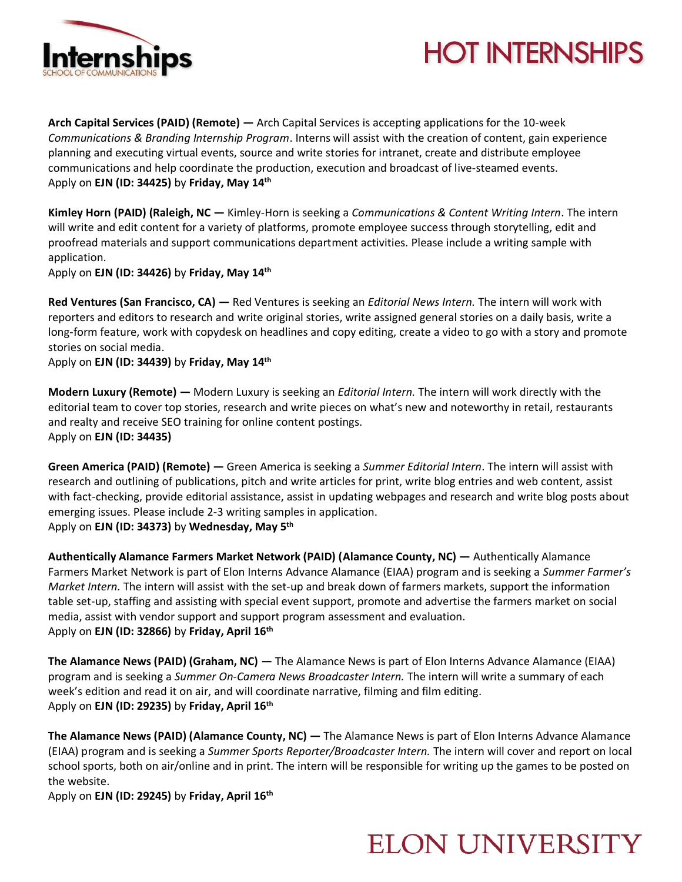



**Arch Capital Services (PAID) (Remote) —** Arch Capital Services is accepting applications for the 10-week *Communications & Branding Internship Program*. Interns will assist with the creation of content, gain experience planning and executing virtual events, source and write stories for intranet, create and distribute employee communications and help coordinate the production, execution and broadcast of live-steamed events. Apply on **EJN (ID: 34425)** by **Friday, May 14th**

**Kimley Horn (PAID) (Raleigh, NC —** Kimley-Horn is seeking a *Communications & Content Writing Intern*. The intern will write and edit content for a variety of platforms, promote employee success through storytelling, edit and proofread materials and support communications department activities. Please include a writing sample with application.

Apply on **EJN (ID: 34426)** by **Friday, May 14th**

**Red Ventures (San Francisco, CA) —** Red Ventures is seeking an *Editorial News Intern.* The intern will work with reporters and editors to research and write original stories, write assigned general stories on a daily basis, write a long-form feature, work with copydesk on headlines and copy editing, create a video to go with a story and promote stories on social media.

Apply on **EJN (ID: 34439)** by **Friday, May 14th**

**Modern Luxury (Remote) —** Modern Luxury is seeking an *Editorial Intern.* The intern will work directly with the editorial team to cover top stories, research and write pieces on what's new and noteworthy in retail, restaurants and realty and receive SEO training for online content postings. Apply on **EJN (ID: 34435)** 

**Green America (PAID) (Remote) —** Green America is seeking a *Summer Editorial Intern*. The intern will assist with research and outlining of publications, pitch and write articles for print, write blog entries and web content, assist with fact-checking, provide editorial assistance, assist in updating webpages and research and write blog posts about emerging issues. Please include 2-3 writing samples in application. Apply on **EJN (ID: 34373)** by **Wednesday, May 5th**

**Authentically Alamance Farmers Market Network (PAID) (Alamance County, NC) —** Authentically Alamance Farmers Market Network is part of Elon Interns Advance Alamance (EIAA) program and is seeking a *Summer Farmer's Market Intern.* The intern will assist with the set-up and break down of farmers markets, support the information table set-up, staffing and assisting with special event support, promote and advertise the farmers market on social media, assist with vendor support and support program assessment and evaluation. Apply on **EJN (ID: 32866)** by **Friday, April 16th** 

**The Alamance News (PAID) (Graham, NC) —** The Alamance News is part of Elon Interns Advance Alamance (EIAA) program and is seeking a *Summer On-Camera News Broadcaster Intern.* The intern will write a summary of each week's edition and read it on air, and will coordinate narrative, filming and film editing. Apply on **EJN (ID: 29235)** by **Friday, April 16th** 

**The Alamance News (PAID) (Alamance County, NC) —** The Alamance News is part of Elon Interns Advance Alamance (EIAA) program and is seeking a *Summer Sports Reporter/Broadcaster Intern.* The intern will cover and report on local school sports, both on air/online and in print. The intern will be responsible for writing up the games to be posted on the website.

Apply on **EJN (ID: 29245)** by **Friday, April 16th**